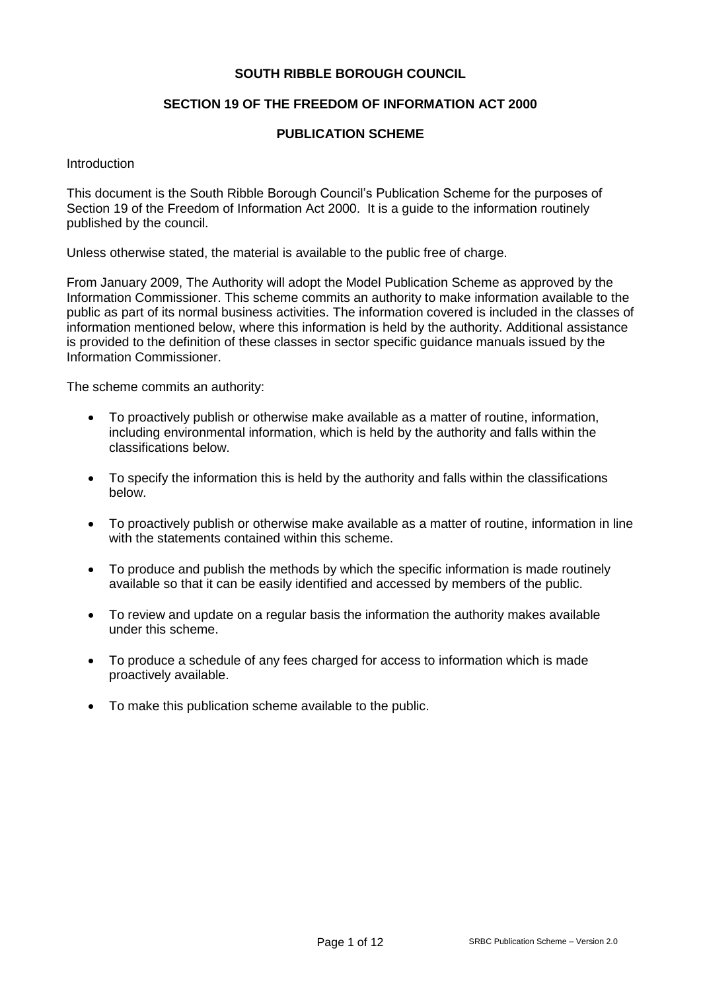### **SOUTH RIBBLE BOROUGH COUNCIL**

### **SECTION 19 OF THE FREEDOM OF INFORMATION ACT 2000**

### **PUBLICATION SCHEME**

**Introduction** 

This document is the South Ribble Borough Council's Publication Scheme for the purposes of Section 19 of the Freedom of Information Act 2000. It is a guide to the information routinely published by the council.

Unless otherwise stated, the material is available to the public free of charge.

From January 2009, The Authority will adopt the Model Publication Scheme as approved by the Information Commissioner. This scheme commits an authority to make information available to the public as part of its normal business activities. The information covered is included in the classes of information mentioned below, where this information is held by the authority. Additional assistance is provided to the definition of these classes in sector specific guidance manuals issued by the Information Commissioner.

The scheme commits an authority:

- To proactively publish or otherwise make available as a matter of routine, information, including environmental information, which is held by the authority and falls within the classifications below.
- To specify the information this is held by the authority and falls within the classifications below.
- To proactively publish or otherwise make available as a matter of routine, information in line with the statements contained within this scheme.
- To produce and publish the methods by which the specific information is made routinely available so that it can be easily identified and accessed by members of the public.
- To review and update on a regular basis the information the authority makes available under this scheme.
- To produce a schedule of any fees charged for access to information which is made proactively available.
- To make this publication scheme available to the public.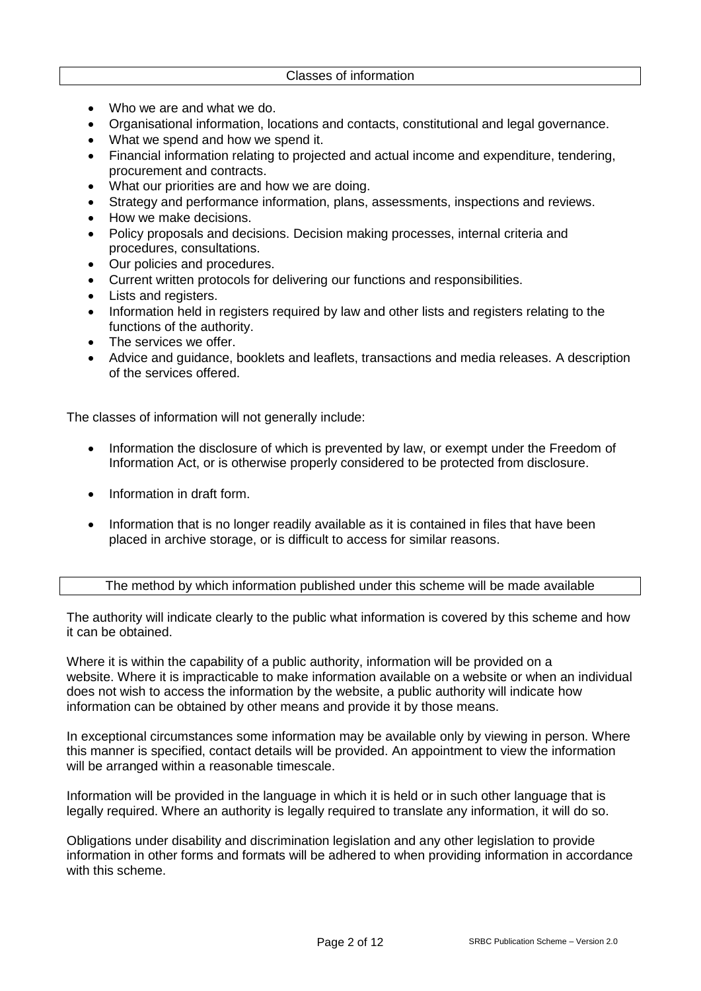- Who we are and what we do.
- Organisational information, locations and contacts, constitutional and legal governance.
- What we spend and how we spend it.
- Financial information relating to projected and actual income and expenditure, tendering, procurement and contracts.
- What our priorities are and how we are doing.
- Strategy and performance information, plans, assessments, inspections and reviews.
- How we make decisions.
- Policy proposals and decisions. Decision making processes, internal criteria and procedures, consultations.
- Our policies and procedures.
- Current written protocols for delivering our functions and responsibilities.
- Lists and registers.
- Information held in registers required by law and other lists and registers relating to the functions of the authority.
- The services we offer.
- Advice and guidance, booklets and leaflets, transactions and media releases. A description of the services offered.

The classes of information will not generally include:

- Information the disclosure of which is prevented by law, or exempt under the Freedom of Information Act, or is otherwise properly considered to be protected from disclosure.
- Information in draft form.
- Information that is no longer readily available as it is contained in files that have been placed in archive storage, or is difficult to access for similar reasons.

#### The method by which information published under this scheme will be made available

The authority will indicate clearly to the public what information is covered by this scheme and how it can be obtained.

Where it is within the capability of a public authority, information will be provided on a website. Where it is impracticable to make information available on a website or when an individual does not wish to access the information by the website, a public authority will indicate how information can be obtained by other means and provide it by those means.

In exceptional circumstances some information may be available only by viewing in person. Where this manner is specified, contact details will be provided. An appointment to view the information will be arranged within a reasonable timescale.

Information will be provided in the language in which it is held or in such other language that is legally required. Where an authority is legally required to translate any information, it will do so.

Obligations under disability and discrimination legislation and any other legislation to provide information in other forms and formats will be adhered to when providing information in accordance with this scheme.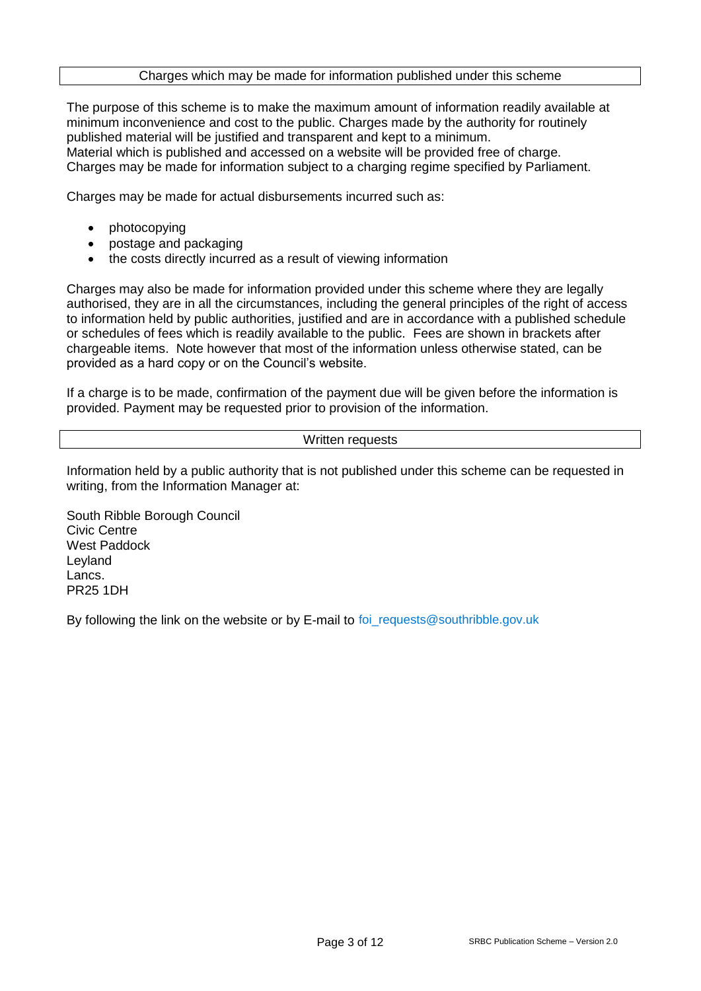### Charges which may be made for information published under this scheme

The purpose of this scheme is to make the maximum amount of information readily available at minimum inconvenience and cost to the public. Charges made by the authority for routinely published material will be justified and transparent and kept to a minimum. Material which is published and accessed on a website will be provided free of charge. Charges may be made for information subject to a charging regime specified by Parliament.

Charges may be made for actual disbursements incurred such as:

- photocopying
- postage and packaging
- the costs directly incurred as a result of viewing information

Charges may also be made for information provided under this scheme where they are legally authorised, they are in all the circumstances, including the general principles of the right of access to information held by public authorities, justified and are in accordance with a published schedule or schedules of fees which is readily available to the public. Fees are shown in brackets after chargeable items. Note however that most of the information unless otherwise stated, can be provided as a hard copy or on the Council's website.

If a charge is to be made, confirmation of the payment due will be given before the information is provided. Payment may be requested prior to provision of the information.

### Written requests

Information held by a public authority that is not published under this scheme can be requested in writing, from the Information Manager at:

South Ribble Borough Council Civic Centre West Paddock Leyland Lancs. PR25 1DH

By following the link on the website or by E-mail to foi\_requests@southribble.gov.uk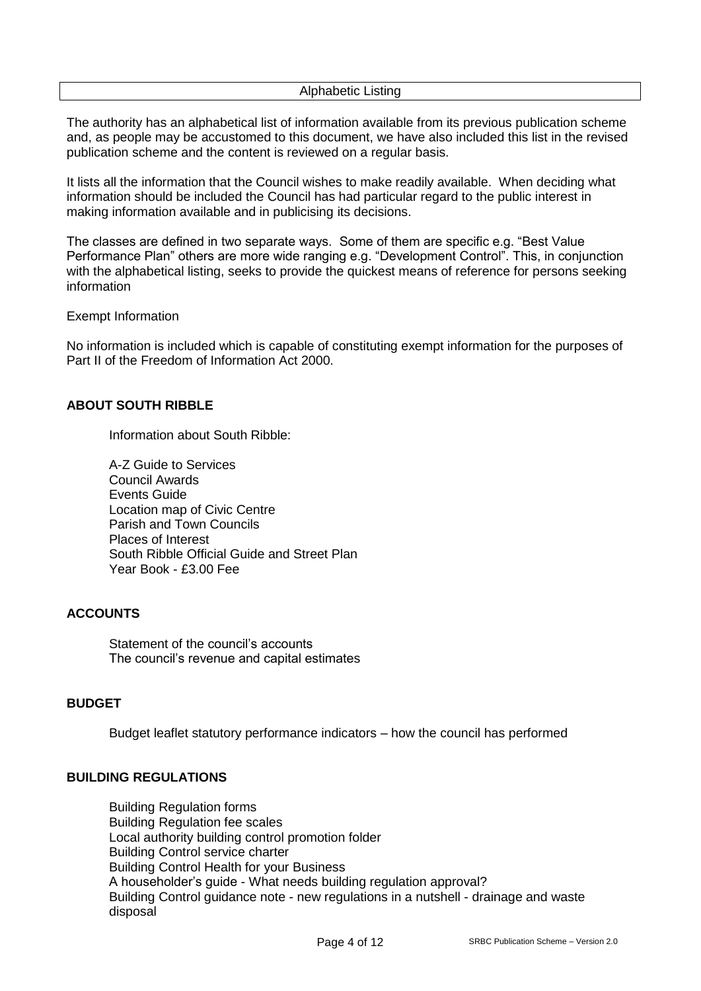Alphabetic Listing

The authority has an alphabetical list of information available from its previous publication scheme and, as people may be accustomed to this document, we have also included this list in the revised publication scheme and the content is reviewed on a regular basis.

It lists all the information that the Council wishes to make readily available. When deciding what information should be included the Council has had particular regard to the public interest in making information available and in publicising its decisions.

The classes are defined in two separate ways. Some of them are specific e.g. "Best Value Performance Plan" others are more wide ranging e.g. "Development Control". This, in conjunction with the alphabetical listing, seeks to provide the quickest means of reference for persons seeking information

Exempt Information

No information is included which is capable of constituting exempt information for the purposes of Part II of the Freedom of Information Act 2000.

# **ABOUT SOUTH RIBBLE**

Information about South Ribble:

A-Z Guide to Services Council Awards Events Guide Location map of Civic Centre Parish and Town Councils Places of Interest South Ribble Official Guide and Street Plan Year Book - £3.00 Fee

# **ACCOUNTS**

Statement of the council's accounts The council's revenue and capital estimates

# **BUDGET**

Budget leaflet statutory performance indicators – how the council has performed

#### **BUILDING REGULATIONS**

Building Regulation forms Building Regulation fee scales Local authority building control promotion folder Building Control service charter Building Control Health for your Business A householder's guide - What needs building regulation approval? Building Control guidance note - new regulations in a nutshell - drainage and waste disposal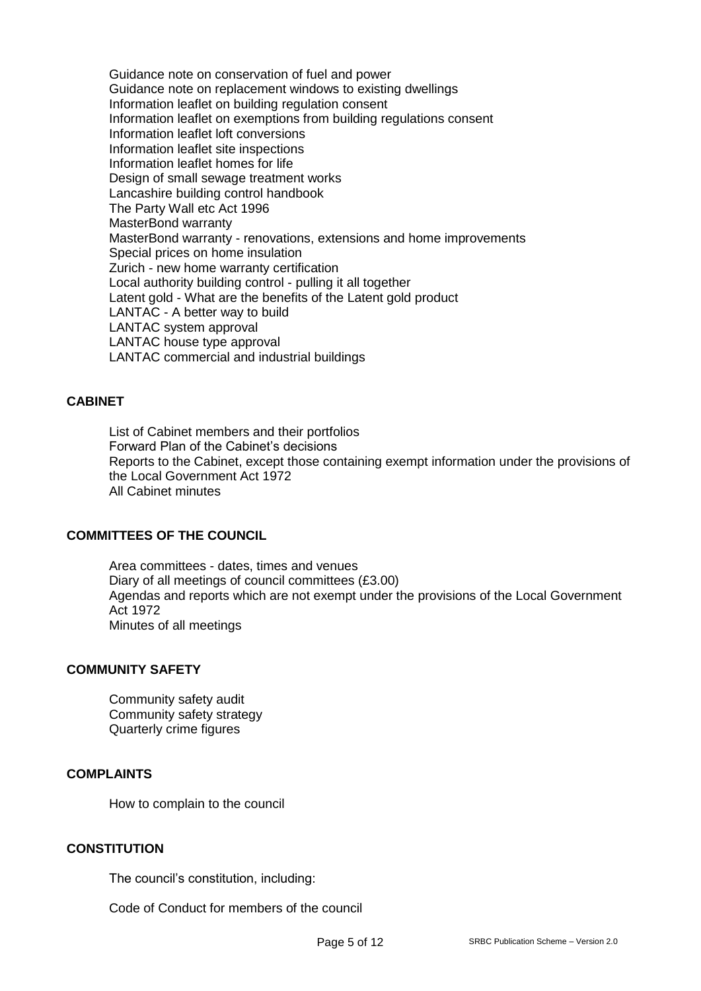Guidance note on conservation of fuel and power Guidance note on replacement windows to existing dwellings Information leaflet on building regulation consent Information leaflet on exemptions from building regulations consent Information leaflet loft conversions Information leaflet site inspections Information leaflet homes for life Design of small sewage treatment works Lancashire building control handbook The Party Wall etc Act 1996 MasterBond warranty MasterBond warranty - renovations, extensions and home improvements Special prices on home insulation Zurich - new home warranty certification Local authority building control - pulling it all together Latent gold - What are the benefits of the Latent gold product LANTAC - A better way to build LANTAC system approval LANTAC house type approval LANTAC commercial and industrial buildings

### **CABINET**

List of Cabinet members and their portfolios Forward Plan of the Cabinet's decisions Reports to the Cabinet, except those containing exempt information under the provisions of the Local Government Act 1972 All Cabinet minutes

### **COMMITTEES OF THE COUNCIL**

Area committees - dates, times and venues Diary of all meetings of council committees (£3.00) Agendas and reports which are not exempt under the provisions of the Local Government Act 1972 Minutes of all meetings

### **COMMUNITY SAFETY**

Community safety audit Community safety strategy Quarterly crime figures

#### **COMPLAINTS**

How to complain to the council

# **CONSTITUTION**

The council's constitution, including:

Code of Conduct for members of the council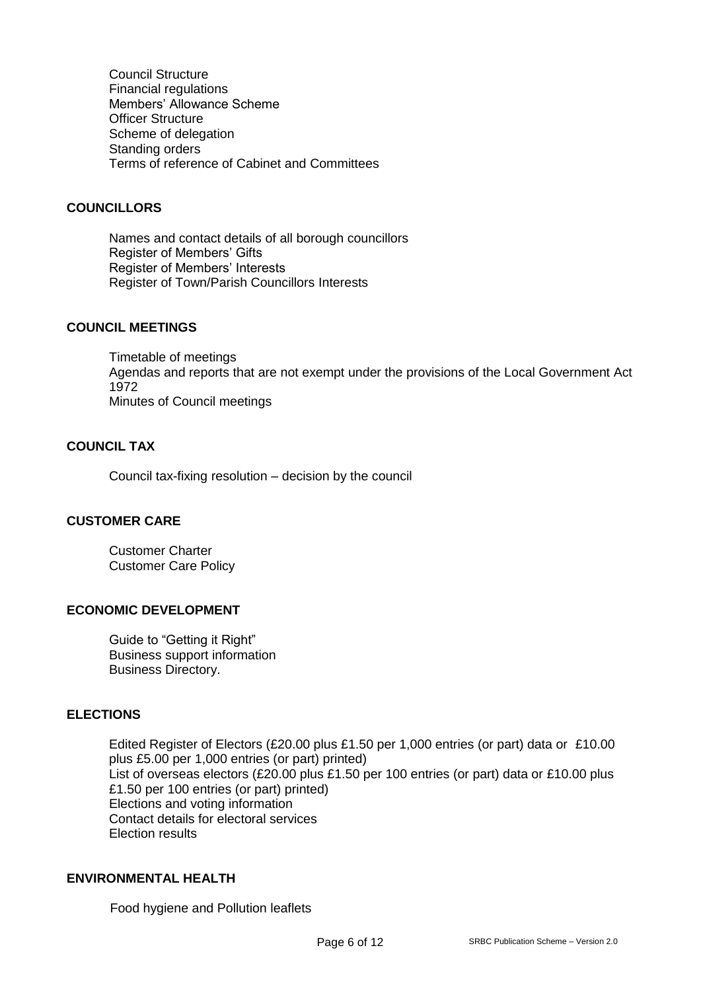Council Structure Financial regulations Members' Allowance Scheme Officer Structure Scheme of delegation Standing orders Terms of reference of Cabinet and Committees

# **COUNCILLORS**

Names and contact details of all borough councillors Register of Members' Gifts Register of Members' Interests Register of Town/Parish Councillors Interests

### **COUNCIL MEETINGS**

Timetable of meetings Agendas and reports that are not exempt under the provisions of the Local Government Act 1972 Minutes of Council meetings

# **COUNCIL TAX**

Council tax-fixing resolution – decision by the council

# **CUSTOMER CARE**

Customer Charter Customer Care Policy

#### **ECONOMIC DEVELOPMENT**

Guide to "Getting it Right" Business support information Business Directory.

### **ELECTIONS**

Edited Register of Electors (£20.00 plus £1.50 per 1,000 entries (or part) data or £10.00 plus £5.00 per 1,000 entries (or part) printed) List of overseas electors (£20.00 plus £1.50 per 100 entries (or part) data or £10.00 plus £1.50 per 100 entries (or part) printed) Elections and voting information Contact details for electoral services Election results

# **ENVIRONMENTAL HEALTH**

Food hygiene and Pollution leaflets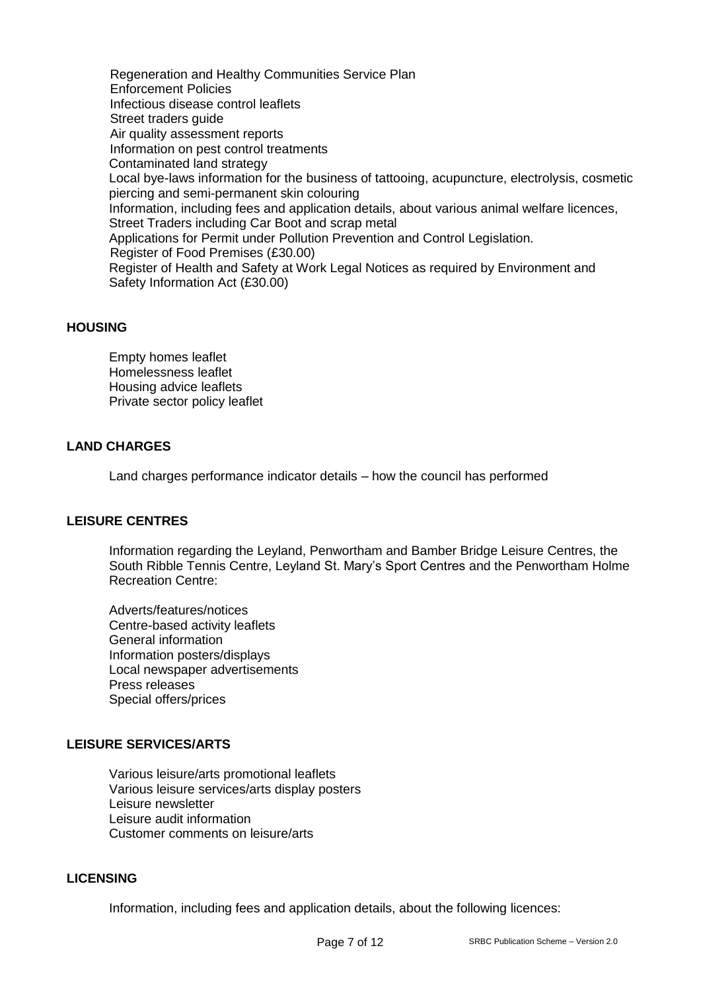Regeneration and Healthy Communities Service Plan Enforcement Policies Infectious disease control leaflets Street traders quide Air quality assessment reports Information on pest control treatments Contaminated land strategy Local bye-laws information for the business of tattooing, acupuncture, electrolysis, cosmetic piercing and semi-permanent skin colouring Information, including fees and application details, about various animal welfare licences, Street Traders including Car Boot and scrap metal Applications for Permit under Pollution Prevention and Control Legislation. Register of Food Premises (£30.00) Register of Health and Safety at Work Legal Notices as required by Environment and Safety Information Act (£30.00)

### **HOUSING**

Empty homes leaflet Homelessness leaflet Housing advice leaflets Private sector policy leaflet

# **LAND CHARGES**

Land charges performance indicator details – how the council has performed

# **LEISURE CENTRES**

Information regarding the Leyland, Penwortham and Bamber Bridge Leisure Centres, the South Ribble Tennis Centre, Leyland St. Mary's Sport Centres and the Penwortham Holme Recreation Centre:

Adverts/features/notices Centre-based activity leaflets General information Information posters/displays Local newspaper advertisements Press releases Special offers/prices

# **LEISURE SERVICES/ARTS**

Various leisure/arts promotional leaflets Various leisure services/arts display posters Leisure newsletter Leisure audit information Customer comments on leisure/arts

### **LICENSING**

Information, including fees and application details, about the following licences: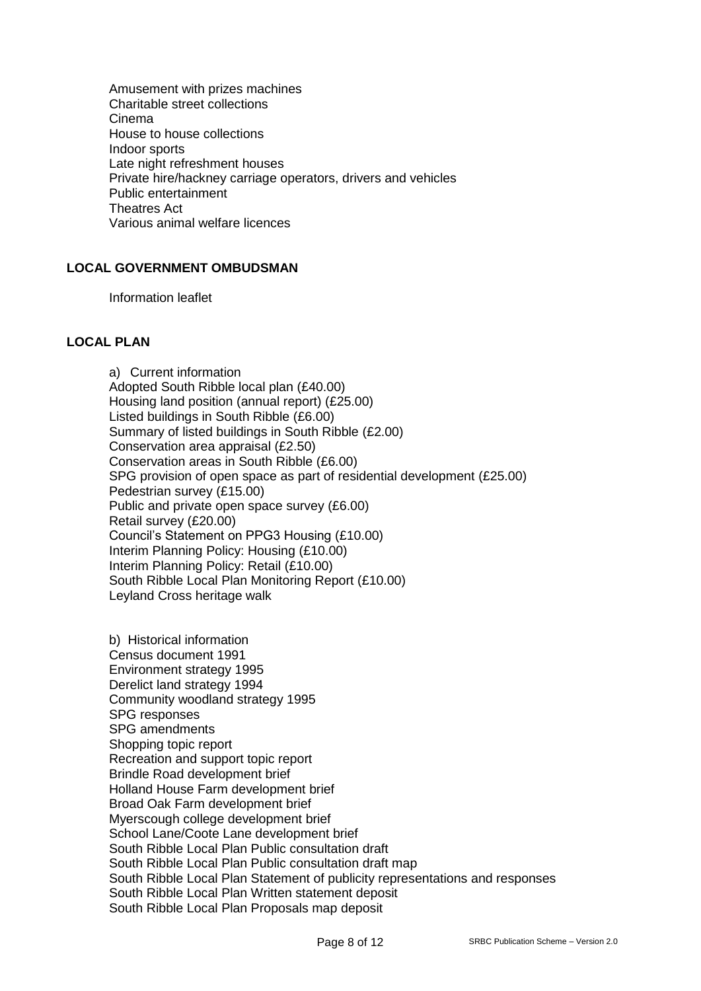Amusement with prizes machines Charitable street collections Cinema House to house collections Indoor sports Late night refreshment houses Private hire/hackney carriage operators, drivers and vehicles Public entertainment Theatres Act Various animal welfare licences

### **LOCAL GOVERNMENT OMBUDSMAN**

Information leaflet

# **LOCAL PLAN**

a) Current information Adopted South Ribble local plan (£40.00) Housing land position (annual report) (£25.00) Listed buildings in South Ribble (£6.00) Summary of listed buildings in South Ribble (£2.00) Conservation area appraisal (£2.50) Conservation areas in South Ribble (£6.00) SPG provision of open space as part of residential development (£25.00) Pedestrian survey (£15.00) Public and private open space survey (£6.00) Retail survey (£20.00) Council's Statement on PPG3 Housing (£10.00) Interim Planning Policy: Housing (£10.00) Interim Planning Policy: Retail (£10.00) South Ribble Local Plan Monitoring Report (£10.00) Leyland Cross heritage walk

b) Historical information Census document 1991 Environment strategy 1995 Derelict land strategy 1994 Community woodland strategy 1995 SPG responses SPG amendments Shopping topic report Recreation and support topic report Brindle Road development brief Holland House Farm development brief Broad Oak Farm development brief Myerscough college development brief School Lane/Coote Lane development brief South Ribble Local Plan Public consultation draft South Ribble Local Plan Public consultation draft map South Ribble Local Plan Statement of publicity representations and responses South Ribble Local Plan Written statement deposit South Ribble Local Plan Proposals map deposit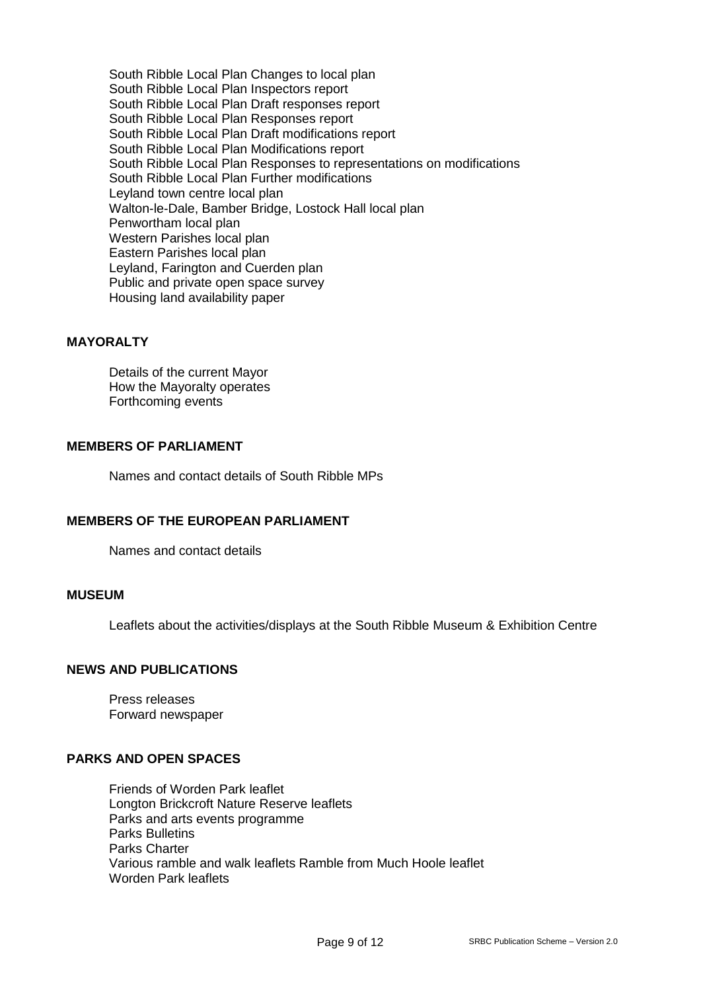South Ribble Local Plan Changes to local plan South Ribble Local Plan Inspectors report South Ribble Local Plan Draft responses report South Ribble Local Plan Responses report South Ribble Local Plan Draft modifications report South Ribble Local Plan Modifications report South Ribble Local Plan Responses to representations on modifications South Ribble Local Plan Further modifications Leyland town centre local plan Walton-le-Dale, Bamber Bridge, Lostock Hall local plan Penwortham local plan Western Parishes local plan Eastern Parishes local plan Leyland, Farington and Cuerden plan Public and private open space survey Housing land availability paper

# **MAYORALTY**

Details of the current Mayor How the Mayoralty operates Forthcoming events

#### **MEMBERS OF PARLIAMENT**

Names and contact details of South Ribble MPs

# **MEMBERS OF THE EUROPEAN PARLIAMENT**

Names and contact details

#### **MUSEUM**

Leaflets about the activities/displays at the South Ribble Museum & Exhibition Centre

#### **NEWS AND PUBLICATIONS**

Press releases Forward newspaper

# **PARKS AND OPEN SPACES**

Friends of Worden Park leaflet Longton Brickcroft Nature Reserve leaflets Parks and arts events programme Parks Bulletins Parks Charter Various ramble and walk leaflets Ramble from Much Hoole leaflet Worden Park leaflets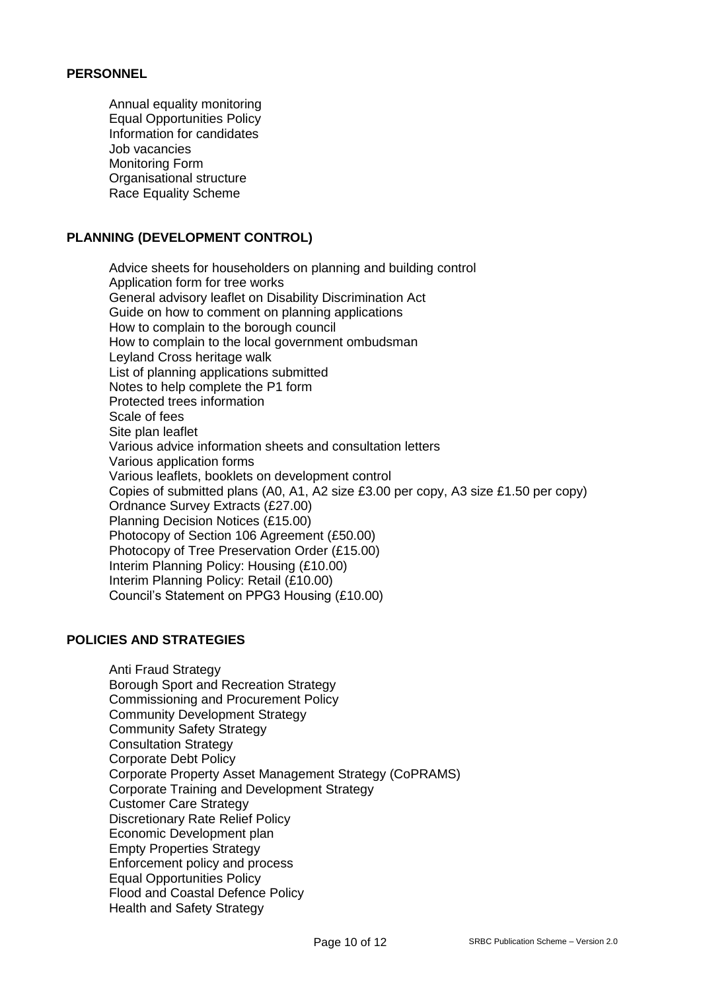# **PERSONNEL**

Annual equality monitoring Equal Opportunities Policy Information for candidates Job vacancies Monitoring Form Organisational structure Race Equality Scheme

# **PLANNING (DEVELOPMENT CONTROL)**

Advice sheets for householders on planning and building control Application form for tree works General advisory leaflet on Disability Discrimination Act Guide on how to comment on planning applications How to complain to the borough council How to complain to the local government ombudsman Leyland Cross heritage walk List of planning applications submitted Notes to help complete the P1 form Protected trees information Scale of fees Site plan leaflet Various advice information sheets and consultation letters Various application forms Various leaflets, booklets on development control Copies of submitted plans (A0, A1, A2 size £3.00 per copy, A3 size £1.50 per copy) Ordnance Survey Extracts (£27.00) Planning Decision Notices (£15.00) Photocopy of Section 106 Agreement (£50.00) Photocopy of Tree Preservation Order (£15.00) Interim Planning Policy: Housing (£10.00) Interim Planning Policy: Retail (£10.00) Council's Statement on PPG3 Housing (£10.00)

# **POLICIES AND STRATEGIES**

Anti Fraud Strategy Borough Sport and Recreation Strategy Commissioning and Procurement Policy Community Development Strategy Community Safety Strategy Consultation Strategy Corporate Debt Policy Corporate Property Asset Management Strategy (CoPRAMS) Corporate Training and Development Strategy Customer Care Strategy Discretionary Rate Relief Policy Economic Development plan Empty Properties Strategy Enforcement policy and process Equal Opportunities Policy Flood and Coastal Defence Policy Health and Safety Strategy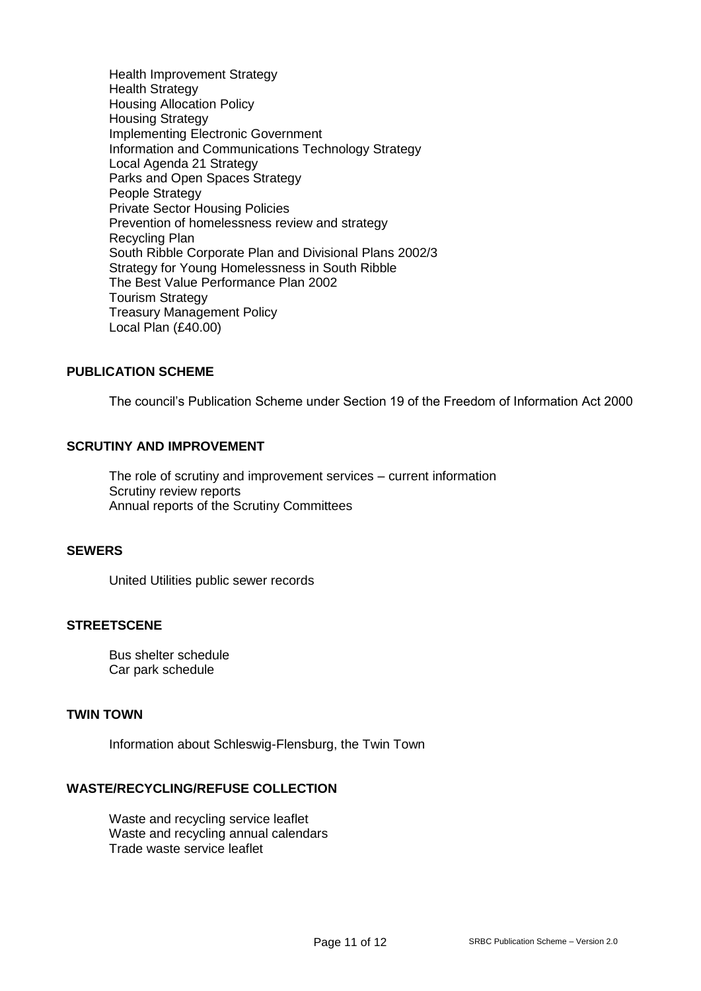Health Improvement Strategy Health Strategy Housing Allocation Policy Housing Strategy Implementing Electronic Government Information and Communications Technology Strategy Local Agenda 21 Strategy Parks and Open Spaces Strategy People Strategy Private Sector Housing Policies Prevention of homelessness review and strategy Recycling Plan South Ribble Corporate Plan and Divisional Plans 2002/3 Strategy for Young Homelessness in South Ribble The Best Value Performance Plan 2002 Tourism Strategy Treasury Management Policy Local Plan (£40.00)

### **PUBLICATION SCHEME**

The council's Publication Scheme under Section 19 of the Freedom of Information Act 2000

### **SCRUTINY AND IMPROVEMENT**

The role of scrutiny and improvement services – current information Scrutiny review reports Annual reports of the Scrutiny Committees

#### **SEWERS**

United Utilities public sewer records

### **STREETSCENE**

Bus shelter schedule Car park schedule

### **TWIN TOWN**

Information about Schleswig-Flensburg, the Twin Town

### **WASTE/RECYCLING/REFUSE COLLECTION**

Waste and recycling service leaflet Waste and recycling annual calendars Trade waste service leaflet